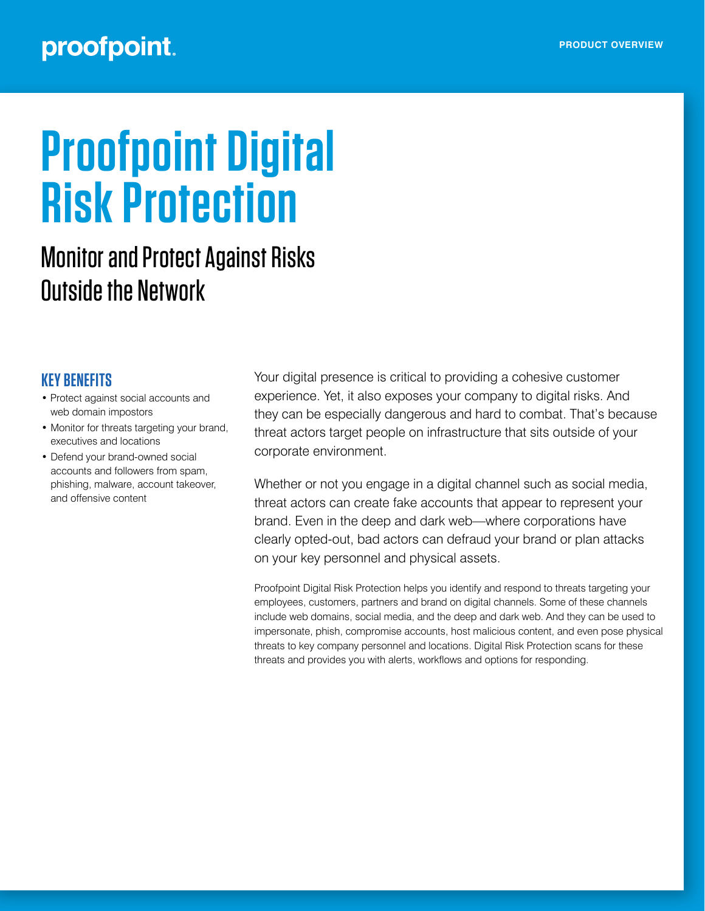# proofpoint.

# **Proofpoint Digital Risk Protection**

# Monitor and Protect Against Risks Outside the Network

# **KEY BENEFITS**

- Protect against social accounts and web domain impostors
- Monitor for threats targeting your brand, executives and locations
- Defend your brand-owned social accounts and followers from spam, phishing, malware, account takeover, and offensive content

Your digital presence is critical to providing a cohesive customer experience. Yet, it also exposes your company to digital risks. And they can be especially dangerous and hard to combat. That's because threat actors target people on infrastructure that sits outside of your corporate environment.

Whether or not you engage in a digital channel such as social media, threat actors can create fake accounts that appear to represent your brand. Even in the deep and dark web—where corporations have clearly opted-out, bad actors can defraud your brand or plan attacks on your key personnel and physical assets.

Proofpoint Digital Risk Protection helps you identify and respond to threats targeting your employees, customers, partners and brand on digital channels. Some of these channels include web domains, social media, and the deep and dark web. And they can be used to impersonate, phish, compromise accounts, host malicious content, and even pose physical threats to key company personnel and locations. Digital Risk Protection scans for these threats and provides you with alerts, workflows and options for responding.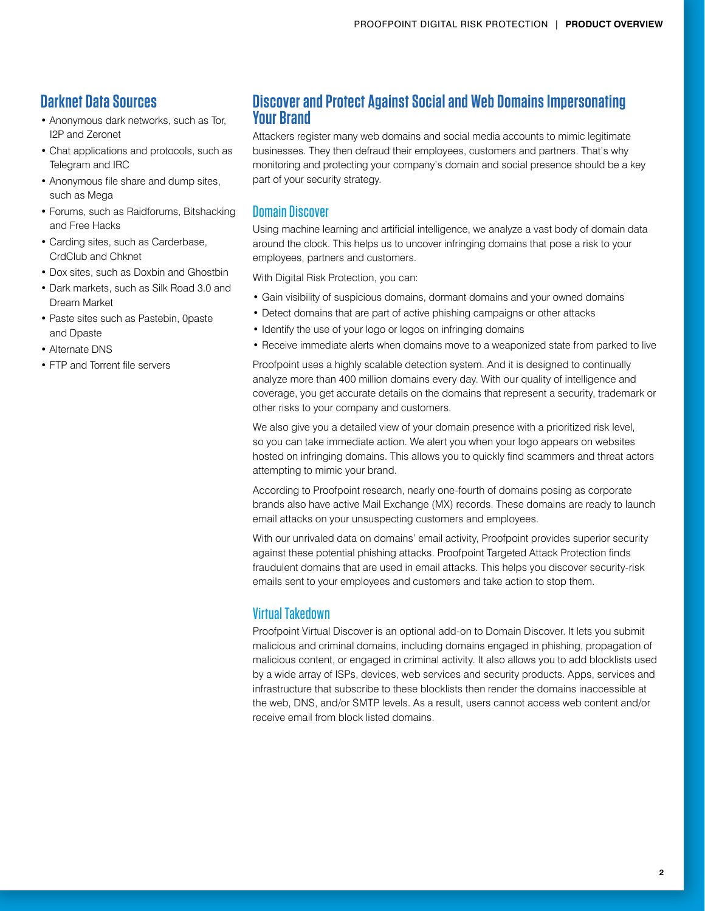# **Darknet Data Sources**

- Anonymous dark networks, such as Tor, I2P and Zeronet
- Chat applications and protocols, such as Telegram and IRC
- Anonymous file share and dump sites, such as Mega
- Forums, such as Raidforums, Bitshacking and Free Hacks
- Carding sites, such as Carderbase, CrdClub and Chknet
- Dox sites, such as Doxbin and Ghostbin
- Dark markets, such as Silk Road 3.0 and Dream Market
- Paste sites such as Pastebin, 0paste and Dpaste
- Alternate DNS
- FTP and Torrent file servers

# **Discover and Protect Against Social and Web Domains Impersonating Your Brand**

Attackers register many web domains and social media accounts to mimic legitimate businesses. They then defraud their employees, customers and partners. That's why monitoring and protecting your company's domain and social presence should be a key part of your security strategy.

#### Domain Discover

Using machine learning and artificial intelligence, we analyze a vast body of domain data around the clock. This helps us to uncover infringing domains that pose a risk to your employees, partners and customers.

With Digital Risk Protection, you can:

- Gain visibility of suspicious domains, dormant domains and your owned domains
- Detect domains that are part of active phishing campaigns or other attacks
- Identify the use of your logo or logos on infringing domains
- Receive immediate alerts when domains move to a weaponized state from parked to live

Proofpoint uses a highly scalable detection system. And it is designed to continually analyze more than 400 million domains every day. With our quality of intelligence and coverage, you get accurate details on the domains that represent a security, trademark or other risks to your company and customers.

We also give you a detailed view of your domain presence with a prioritized risk level, so you can take immediate action. We alert you when your logo appears on websites hosted on infringing domains. This allows you to quickly find scammers and threat actors attempting to mimic your brand.

According to Proofpoint research, nearly one-fourth of domains posing as corporate brands also have active Mail Exchange (MX) records. These domains are ready to launch email attacks on your unsuspecting customers and employees.

With our unrivaled data on domains' email activity, Proofpoint provides superior security against these potential phishing attacks. Proofpoint Targeted Attack Protection finds fraudulent domains that are used in email attacks. This helps you discover security-risk emails sent to your employees and customers and take action to stop them.

#### Virtual Takedown

Proofpoint Virtual Discover is an optional add-on to Domain Discover. It lets you submit malicious and criminal domains, including domains engaged in phishing, propagation of malicious content, or engaged in criminal activity. It also allows you to add blocklists used by a wide array of ISPs, devices, web services and security products. Apps, services and infrastructure that subscribe to these blocklists then render the domains inaccessible at the web, DNS, and/or SMTP levels. As a result, users cannot access web content and/or receive email from block listed domains.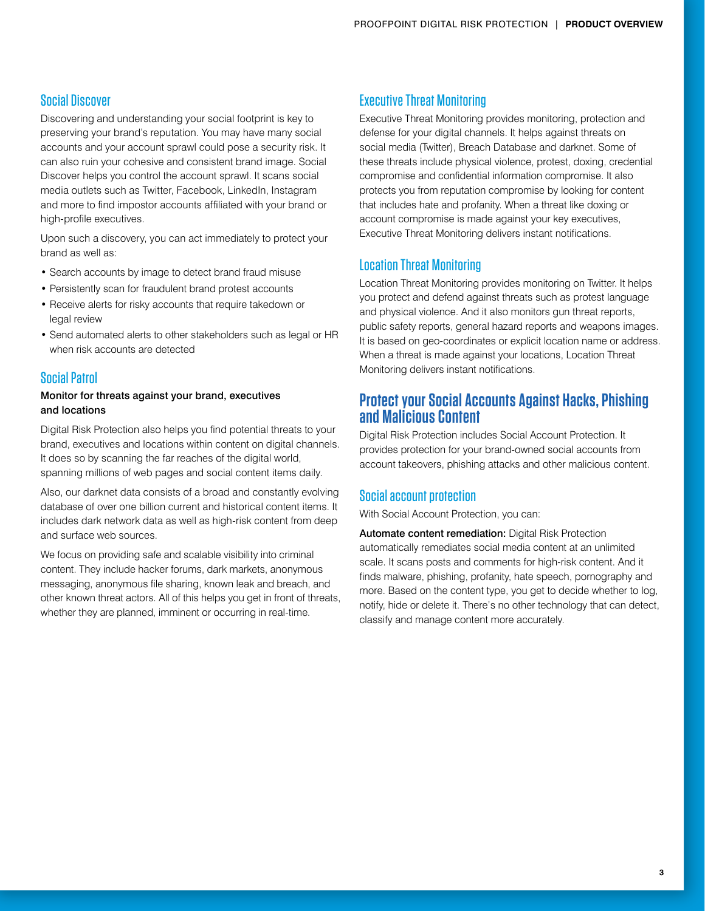#### Social Discover

Discovering and understanding your social footprint is key to preserving your brand's reputation. You may have many social accounts and your account sprawl could pose a security risk. It can also ruin your cohesive and consistent brand image. Social Discover helps you control the account sprawl. It scans social media outlets such as Twitter, Facebook, LinkedIn, Instagram and more to find impostor accounts affiliated with your brand or high-profile executives.

Upon such a discovery, you can act immediately to protect your brand as well as:

- Search accounts by image to detect brand fraud misuse
- Persistently scan for fraudulent brand protest accounts
- Receive alerts for risky accounts that require takedown or legal review
- Send automated alerts to other stakeholders such as legal or HR when risk accounts are detected

#### Social Patrol

#### Monitor for threats against your brand, executives and locations

Digital Risk Protection also helps you find potential threats to your brand, executives and locations within content on digital channels. It does so by scanning the far reaches of the digital world, spanning millions of web pages and social content items daily.

Also, our darknet data consists of a broad and constantly evolving database of over one billion current and historical content items. It includes dark network data as well as high-risk content from deep and surface web sources.

We focus on providing safe and scalable visibility into criminal content. They include hacker forums, dark markets, anonymous messaging, anonymous file sharing, known leak and breach, and other known threat actors. All of this helps you get in front of threats, whether they are planned, imminent or occurring in real-time.

#### Executive Threat Monitoring

Executive Threat Monitoring provides monitoring, protection and defense for your digital channels. It helps against threats on social media (Twitter), Breach Database and darknet. Some of these threats include physical violence, protest, doxing, credential compromise and confidential information compromise. It also protects you from reputation compromise by looking for content that includes hate and profanity. When a threat like doxing or account compromise is made against your key executives, Executive Threat Monitoring delivers instant notifications.

#### Location Threat Monitoring

Location Threat Monitoring provides monitoring on Twitter. It helps you protect and defend against threats such as protest language and physical violence. And it also monitors gun threat reports, public safety reports, general hazard reports and weapons images. It is based on geo-coordinates or explicit location name or address. When a threat is made against your locations, Location Threat Monitoring delivers instant notifications.

### **Protect your Social Accounts Against Hacks, Phishing and Malicious Content**

Digital Risk Protection includes Social Account Protection. It provides protection for your brand-owned social accounts from account takeovers, phishing attacks and other malicious content.

#### Social account protection

With Social Account Protection, you can:

Automate content remediation: Digital Risk Protection automatically remediates social media content at an unlimited scale. It scans posts and comments for high-risk content. And it finds malware, phishing, profanity, hate speech, pornography and more. Based on the content type, you get to decide whether to log, notify, hide or delete it. There's no other technology that can detect, classify and manage content more accurately.